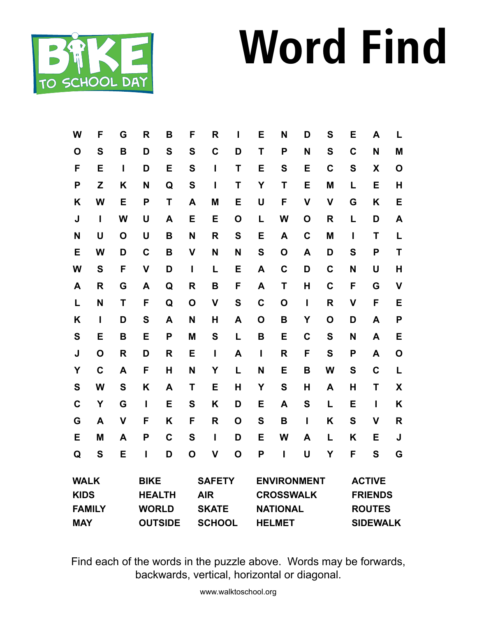## **Word Find**



| W                          | F            | G                            | $\mathsf{R}$ | B              | F                           | R             | ı           | E                                      | N               | D                               | S               | Е            | A            | L                         |
|----------------------------|--------------|------------------------------|--------------|----------------|-----------------------------|---------------|-------------|----------------------------------------|-----------------|---------------------------------|-----------------|--------------|--------------|---------------------------|
| O                          | S            | B                            | D            | S              | S                           | C             | D           | T                                      | P               | N                               | S               | $\mathbf C$  | N            | M                         |
| F                          | E            | Ī                            | D            | E              | S                           | $\mathbf{I}$  | T           | E                                      | S               | E                               | C               | S            | X            | $\mathbf O$               |
| P                          | Z            | K                            | N            | Q              | S                           | $\mathbf{I}$  | Т           | Y                                      | Τ               | E                               | M               | L            | E            | H                         |
| K                          | W            | E                            | P            | T              | A                           | M             | E           | U                                      | F               | $\mathsf{V}$                    | $\mathsf{V}$    | G            | Κ            | E                         |
| J                          | I            | W                            | U            | A              | E                           | E             | O           | L                                      | W               | $\mathbf 0$                     | R               | L            | D            | A                         |
| N                          | U            | O                            | U            | B              | N                           | R             | S           | E                                      | A               | $\mathbf C$                     | M               | I            | T            | L                         |
| Е                          | W            | D                            | $\mathbf C$  | B              | $\mathbf v$                 | N             | N           | S                                      | O               | A                               | D               | S            | P            | T                         |
| W                          | S            | F                            | $\mathsf{V}$ | D              | I                           | L             | E           | A                                      | $\mathbf C$     | D                               | $\mathbf C$     | N            | U            | $\mathsf{H}$              |
| A                          | $\mathsf{R}$ | G                            | A            | Q              | R                           | B             | F           | A                                      | T               | H                               | C               | F            | G            | $\overline{\mathsf{V}}$   |
| L                          | N            | T                            | F            | Q              | $\mathbf O$                 | $\mathsf{V}$  | S           | $\mathbf C$                            | $\mathbf O$     | I                               | R               | $\mathsf{V}$ | F            | E                         |
| K                          | I            | D                            | S            | A              | N                           | H             | A           | O                                      | B               | Y                               | O               | D            | A            | P                         |
| $\mathbf S$                | E            | B                            | E            | P              | M                           | S             | L           | B                                      | E               | $\mathbf C$                     | S               | N            | A            | E                         |
| J                          | O            | R                            | D            | R              | E                           | I             | A           | $\mathbf{I}$                           | R               | F                               | S               | P            | A            | $\mathbf O$               |
| Y                          | $\mathbf C$  | A                            | F            | $\mathsf{H}$   | N                           | Y             | L           | N                                      | E               | B                               | W               | S            | C            | L                         |
| S                          | W            | S                            | K            | A              | T                           | E             | H           | Y                                      | S               | H                               | A               | Н            | T            | $\boldsymbol{\mathsf{X}}$ |
| $\mathbf C$                | Y            | G                            | I            | E              | S                           | Κ             | D           | E                                      | A               | S                               | L               | E            | $\mathbf{I}$ | K                         |
| G                          | A            | $\mathsf{V}$                 | F            | Κ              | F                           | R             | O           | S                                      | B               | T                               | Κ               | S            | $\mathsf{V}$ | $\mathsf{R}$              |
| E                          | M            | A                            | P            | $\mathbf C$    | S                           | T             | D           | E                                      | W               | A                               | L               | K            | E            | J                         |
| Q                          | S            | E                            | Ī            | D              | $\mathbf 0$                 | $\mathsf{V}$  | $\mathbf O$ | P                                      | Ī               | Ù                               | Υ               | F            | S            | G                         |
| <b>WALK</b><br><b>KIDS</b> |              | <b>BIKE</b><br><b>HEALTH</b> |              |                | <b>SAFETY</b><br><b>AIR</b> |               |             | <b>ENVIRONMENT</b><br><b>CROSSWALK</b> |                 | <b>ACTIVE</b><br><b>FRIENDS</b> |                 |              |              |                           |
| <b>FAMILY</b>              |              |                              | <b>WORLD</b> |                |                             | <b>SKATE</b>  |             |                                        | <b>NATIONAL</b> |                                 | <b>ROUTES</b>   |              |              |                           |
| <b>MAY</b>                 |              |                              |              | <b>OUTSIDE</b> |                             | <b>SCHOOL</b> |             |                                        | <b>HELMET</b>   |                                 | <b>SIDEWALK</b> |              |              |                           |

Find each of the words in the puzzle above. Words may be forwards, backwards, vertical, horizontal or diagonal.